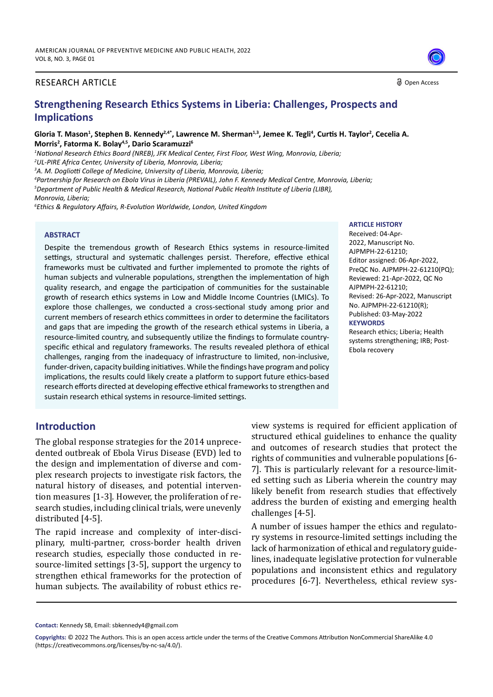#### RESEARCH ARTICLE

# **Strengthening Research Ethics Systems in Liberia: Challenges, Prospects and Implications**

Gloria T. Mason<sup>1</sup>, Stephen B. Kennedy<sup>2,4</sup>\*, Lawrence M. Sherman<sup>1,3</sup>, Jemee K. Tegli<sup>4</sup>, Curtis H. Taylor<sup>2</sup>, Cecelia A. **Morris2 , Fatorma K. Bolay4,5, Dario Scaramuzzi6**

*1 National Research Ethics Board (NREB), JFK Medical Center, First Floor, West Wing, Monrovia, Liberia; 2 UL-PIRE Africa Center, University of Liberia, Monrovia, Liberia;*

*3 A. M. Dogliotti College of Medicine, University of Liberia, Monrovia, Liberia;*

*4 Partnership for Research on Ebola Virus in Liberia (PREVAIL), John F. Kennedy Medical Centre, Monrovia, Liberia; 5 Department of Public Health & Medical Research, National Public Health Institute of Liberia (LIBR),*

*Monrovia, Liberia;*

*6 Ethics & Regulatory Affairs, R-Evolution Worldwide, London, United Kingdom*

#### **ABSTRACT**

Despite the tremendous growth of Research Ethics systems in resource-limited settings, structural and systematic challenges persist. Therefore, effective ethical frameworks must be cultivated and further implemented to promote the rights of human subjects and vulnerable populations, strengthen the implementation of high quality research, and engage the participation of communities for the sustainable growth of research ethics systems in Low and Middle Income Countries (LMICs). To explore those challenges, we conducted a cross-sectional study among prior and current members of research ethics committees in order to determine the facilitators and gaps that are impeding the growth of the research ethical systems in Liberia, a resource-limited country, and subsequently utilize the findings to formulate countryspecific ethical and regulatory frameworks. The results revealed plethora of ethical challenges, ranging from the inadequacy of infrastructure to limited, non-inclusive, funder-driven, capacity building initiatives. While the findings have program and policy implications, the results could likely create a platform to support future ethics-based research efforts directed at developing effective ethical frameworks to strengthen and sustain research ethical systems in resource-limited settings.

#### **ARTICLE HISTORY**

Received: 04-Apr-2022, Manuscript No. AJPMPH-22-61210; Editor assigned: 06-Apr-2022, PreQC No. AJPMPH-22-61210(PQ); Reviewed: 21-Apr-2022, QC No AJPMPH-22-61210; Revised: 26-Apr-2022, Manuscript No. AJPMPH-22-61210(R); Published: 03-May-2022 **KEYWORDS**

Research ethics; Liberia; Health systems strengthening; IRB; Post-Ebola recovery

### **Introduction**

The global response strategies for the 2014 unprecedented outbreak of Ebola Virus Disease (EVD) led to the design and implementation of diverse and complex research projects to investigate risk factors, the natural history of diseases, and potential intervention measures [1-3]. However, the proliferation of research studies, including clinical trials, were unevenly distributed [4-5].

The rapid increase and complexity of inter-disciplinary, multi-partner, cross-border health driven research studies, especially those conducted in resource-limited settings [3-5], support the urgency to strengthen ethical frameworks for the protection of human subjects. The availability of robust ethics review systems is required for efficient application of structured ethical guidelines to enhance the quality and outcomes of research studies that protect the rights of communities and vulnerable populations [6- 7]. This is particularly relevant for a resource-limited setting such as Liberia wherein the country may likely benefit from research studies that effectively address the burden of existing and emerging health challenges [4-5].

A number of issues hamper the ethics and regulatory systems in resource-limited settings including the lack of harmonization of ethical and regulatory guidelines, inadequate legislative protection for vulnerable populations and inconsistent ethics and regulatory procedures [6-7]. Nevertheless, ethical review sys-

**Contact:** Kennedy SB, Email: sbkennedy4@gmail.com



O Open Access

**Copyrights:** © 2022 The Authors. This is an open access article under the terms of the Creative Commons Attribution NonCommercial ShareAlike 4.0 (https://creativecommons.org/licenses/by-nc-sa/4.0/).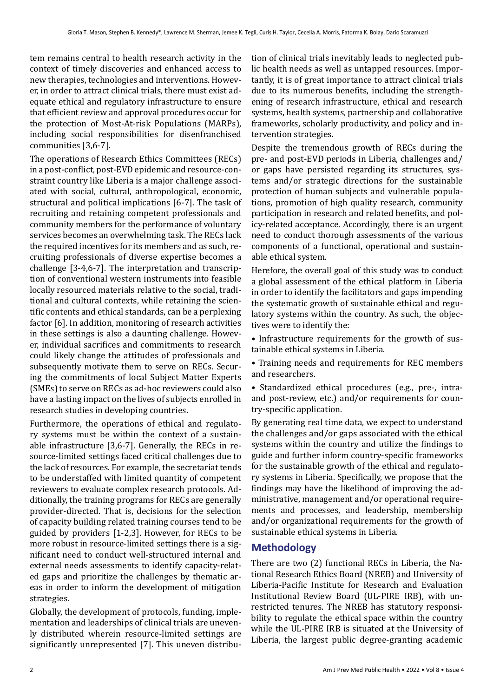tem remains central to health research activity in the context of timely discoveries and enhanced access to new therapies, technologies and interventions. However, in order to attract clinical trials, there must exist adequate ethical and regulatory infrastructure to ensure that efficient review and approval procedures occur for the protection of Most-At-risk Populations (MARPs), including social responsibilities for disenfranchised communities [3,6-7].

The operations of Research Ethics Committees (RECs) in a post-conflict, post-EVD epidemic and resource-constraint country like Liberia is a major challenge associated with social, cultural, anthropological, economic, structural and political implications [6-7]. The task of recruiting and retaining competent professionals and community members for the performance of voluntary services becomes an overwhelming task. The RECs lack the required incentives for its members and as such, recruiting professionals of diverse expertise becomes a challenge [3-4,6-7]. The interpretation and transcription of conventional western instruments into feasible locally resourced materials relative to the social, traditional and cultural contexts, while retaining the scientific contents and ethical standards, can be a perplexing factor [6]. In addition, monitoring of research activities in these settings is also a daunting challenge. However, individual sacrifices and commitments to research could likely change the attitudes of professionals and subsequently motivate them to serve on RECs. Securing the commitments of local Subject Matter Experts (SMEs) to serve on RECs as ad-hoc reviewers could also have a lasting impact on the lives of subjects enrolled in research studies in developing countries.

Furthermore, the operations of ethical and regulatory systems must be within the context of a sustainable infrastructure [3,6-7]. Generally, the RECs in resource-limited settings faced critical challenges due to the lack of resources. For example, the secretariat tends to be understaffed with limited quantity of competent reviewers to evaluate complex research protocols. Additionally, the training programs for RECs are generally provider-directed. That is, decisions for the selection of capacity building related training courses tend to be guided by providers [1-2,3]. However, for RECs to be more robust in resource-limited settings there is a significant need to conduct well-structured internal and external needs assessments to identify capacity-related gaps and prioritize the challenges by thematic areas in order to inform the development of mitigation strategies.

Globally, the development of protocols, funding, implementation and leaderships of clinical trials are unevenly distributed wherein resource-limited settings are significantly unrepresented [7]. This uneven distribution of clinical trials inevitably leads to neglected public health needs as well as untapped resources. Importantly, it is of great importance to attract clinical trials due to its numerous benefits, including the strengthening of research infrastructure, ethical and research systems, health systems, partnership and collaborative frameworks, scholarly productivity, and policy and intervention strategies.

Despite the tremendous growth of RECs during the pre- and post-EVD periods in Liberia, challenges and/ or gaps have persisted regarding its structures, systems and/or strategic directions for the sustainable protection of human subjects and vulnerable populations, promotion of high quality research, community participation in research and related benefits, and policy-related acceptance. Accordingly, there is an urgent need to conduct thorough assessments of the various components of a functional, operational and sustainable ethical system.

Herefore, the overall goal of this study was to conduct a global assessment of the ethical platform in Liberia in order to identify the facilitators and gaps impending the systematic growth of sustainable ethical and regulatory systems within the country. As such, the objectives were to identify the:

• Infrastructure requirements for the growth of sustainable ethical systems in Liberia.

• Training needs and requirements for REC members and researchers.

• Standardized ethical procedures (e.g., pre-, intraand post-review, etc.) and/or requirements for country-specific application.

By generating real time data, we expect to understand the challenges and/or gaps associated with the ethical systems within the country and utilize the findings to guide and further inform country-specific frameworks for the sustainable growth of the ethical and regulatory systems in Liberia. Specifically, we propose that the findings may have the likelihood of improving the administrative, management and/or operational requirements and processes, and leadership, membership and/or organizational requirements for the growth of sustainable ethical systems in Liberia.

### **Methodology**

There are two (2) functional RECs in Liberia, the National Research Ethics Board (NREB) and University of Liberia-Pacific Institute for Research and Evaluation Institutional Review Board (UL-PIRE IRB), with unrestricted tenures. The NREB has statutory responsibility to regulate the ethical space within the country while the UL-PIRE IRB is situated at the University of Liberia, the largest public degree-granting academic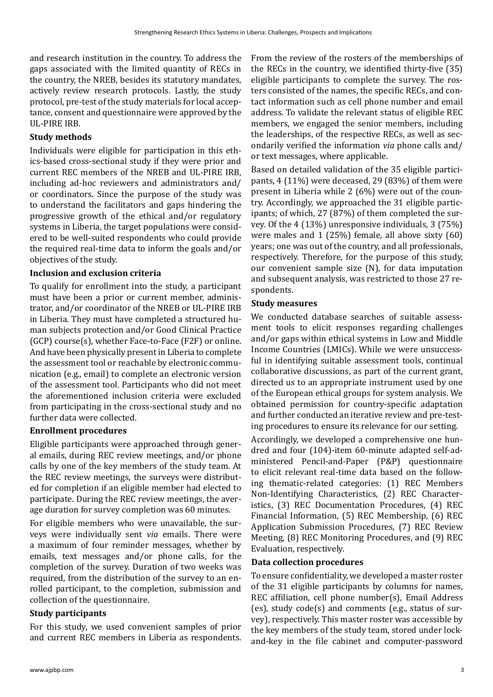and research institution in the country. To address the gaps associated with the limited quantity of RECs in the country, the NREB, besides its statutory mandates, actively review research protocols. Lastly, the study protocol, pre-test of the study materials for local acceptance, consent and questionnaire were approved by the UL-PIRE IRB.

### **Study methods**

Individuals were eligible for participation in this ethics-based cross-sectional study if they were prior and current REC members of the NREB and UL-PIRE IRB, including ad-hoc reviewers and administrators and/ or coordinators. Since the purpose of the study was to understand the facilitators and gaps hindering the progressive growth of the ethical and/or regulatory systems in Liberia, the target populations were considered to be well-suited respondents who could provide the required real-time data to inform the goals and/or objectives of the study.

### **Inclusion and exclusion criteria**

To qualify for enrollment into the study, a participant must have been a prior or current member, administrator, and/or coordinator of the NREB or UL-PIRE IRB in Liberia. They must have completed a structured human subjects protection and/or Good Clinical Practice (GCP) course(s), whether Face-to-Face (F2F) or online. And have been physically present in Liberia to complete the assessment tool or reachable by electronic communication (e.g., email) to complete an electronic version of the assessment tool. Participants who did not meet the aforementioned inclusion criteria were excluded from participating in the cross-sectional study and no further data were collected.

### **Enrollment procedures**

Eligible participants were approached through general emails, during REC review meetings, and/or phone calls by one of the key members of the study team. At the REC review meetings, the surveys were distributed for completion if an eligible member had elected to participate. During the REC review meetings, the average duration for survey completion was 60 minutes.

For eligible members who were unavailable, the surveys were individually sent *via* emails. There were a maximum of four reminder messages, whether by emails, text messages and/or phone calls, for the completion of the survey. Duration of two weeks was required, from the distribution of the survey to an enrolled participant, to the completion, submission and collection of the questionnaire.

### **Study participants**

For this study, we used convenient samples of prior and current REC members in Liberia as respondents.

From the review of the rosters of the memberships of the RECs in the country, we identified thirty-five (35) eligible participants to complete the survey. The rosters consisted of the names, the specific RECs, and contact information such as cell phone number and email address. To validate the relevant status of eligible REC members, we engaged the senior members, including the leaderships, of the respective RECs, as well as secondarily verified the information *via* phone calls and/ or text messages, where applicable.

Based on detailed validation of the 35 eligible participants, 4 (11%) were deceased, 29 (83%) of them were present in Liberia while 2 (6%) were out of the country. Accordingly, we approached the 31 eligible participants; of which, 27 (87%) of them completed the survey. Of the 4 (13%) unresponsive individuals, 3 (75%) were males and 1 (25%) female, all above sixty (60) years; one was out of the country, and all professionals, respectively. Therefore, for the purpose of this study, our convenient sample size (N), for data imputation and subsequent analysis, was restricted to those 27 respondents.

### **Study measures**

We conducted database searches of suitable assessment tools to elicit responses regarding challenges and/or gaps within ethical systems in Low and Middle Income Countries (LMICs). While we were unsuccessful in identifying suitable assessment tools, continual collaborative discussions, as part of the current grant, directed us to an appropriate instrument used by one of the European ethical groups for system analysis. We obtained permission for country-specific adaptation and further conducted an iterative review and pre-testing procedures to ensure its relevance for our setting.

Accordingly, we developed a comprehensive one hundred and four (104)-item 60-minute adapted self-administered Pencil-and-Paper (P&P) questionnaire to elicit relevant real-time data based on the following thematic-related categories: (1) REC Members Non-Identifying Characteristics, (2) REC Characteristics, (3) REC Documentation Procedures, (4) REC Financial Information, (5) REC Membership, (6) REC Application Submission Procedures, (7) REC Review Meeting, (8) REC Monitoring Procedures, and (9) REC Evaluation, respectively.

#### **Data collection procedures**

To ensure confidentiality, we developed a master roster of the 31 eligible participants by columns for names, REC affiliation, cell phone number(s), Email Address (es), study code(s) and comments (e.g., status of survey), respectively. This master roster was accessible by the key members of the study team, stored under lockand-key in the file cabinet and computer-password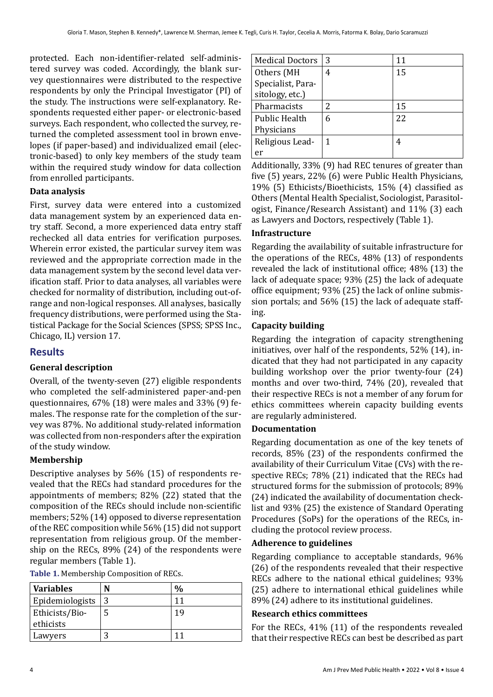protected. Each non-identifier-related self-administered survey was coded. Accordingly, the blank survey questionnaires were distributed to the respective respondents by only the Principal Investigator (PI) of the study. The instructions were self-explanatory. Respondents requested either paper- or electronic-based surveys. Each respondent, who collected the survey, returned the completed assessment tool in brown envelopes (if paper-based) and individualized email (electronic-based) to only key members of the study team within the required study window for data collection from enrolled participants.

### **Data analysis**

First, survey data were entered into a customized data management system by an experienced data entry staff. Second, a more experienced data entry staff rechecked all data entries for verification purposes. Wherein error existed, the particular survey item was reviewed and the appropriate correction made in the data management system by the second level data verification staff. Prior to data analyses, all variables were checked for normality of distribution, including out-ofrange and non-logical responses. All analyses, basically frequency distributions, were performed using the Statistical Package for the Social Sciences (SPSS; SPSS Inc., Chicago, IL) version 17.

### **Results**

### **General description**

Overall, of the twenty-seven (27) eligible respondents who completed the self-administered paper-and-pen questionnaires, 67% (18) were males and 33% (9) females. The response rate for the completion of the survey was 87%. No additional study-related information was collected from non-responders after the expiration of the study window.

### **Membership**

Descriptive analyses by 56% (15) of respondents revealed that the RECs had standard procedures for the appointments of members; 82% (22) stated that the composition of the RECs should include non-scientific members; 52% (14) opposed to diverse representation of the REC composition while 56% (15) did not support representation from religious group. Of the membership on the RECs, 89% (24) of the respondents were regular members (Table 1).

| Table 1. Membership Composition of RECs. |  |
|------------------------------------------|--|
|------------------------------------------|--|

| <b>Variables</b> | %  |
|------------------|----|
| Epidemiologists  |    |
| Ethicists/Bio-   | 19 |
| ethicists        |    |
| Lawyers          |    |

| <b>Medical Doctors</b> | 3 | 11 |
|------------------------|---|----|
| Others (MH             | 4 | 15 |
| Specialist, Para-      |   |    |
| sitology, etc.)        |   |    |
| Pharmacists            | 2 | 15 |
| <b>Public Health</b>   | 6 | 22 |
| Physicians             |   |    |
| Religious Lead-        |   |    |
| er                     |   |    |

Additionally, 33% (9) had REC tenures of greater than five (5) years, 22% (6) were Public Health Physicians, 19% (5) Ethicists/Bioethicists, 15% (4) classified as Others (Mental Health Specialist, Sociologist, Parasitologist, Finance/Research Assistant) and 11% (3) each as Lawyers and Doctors, respectively (Table 1).

#### **Infrastructure**

Regarding the availability of suitable infrastructure for the operations of the RECs, 48% (13) of respondents revealed the lack of institutional office; 48% (13) the lack of adequate space; 93% (25) the lack of adequate office equipment; 93% (25) the lack of online submission portals; and 56% (15) the lack of adequate staffing.

#### **Capacity building**

Regarding the integration of capacity strengthening initiatives, over half of the respondents, 52% (14), indicated that they had not participated in any capacity building workshop over the prior twenty-four (24) months and over two-third, 74% (20), revealed that their respective RECs is not a member of any forum for ethics committees wherein capacity building events are regularly administered.

#### **Documentation**

Regarding documentation as one of the key tenets of records, 85% (23) of the respondents confirmed the availability of their Curriculum Vitae (CVs) with the respective RECs; 78% (21) indicated that the RECs had structured forms for the submission of protocols; 89% (24) indicated the availability of documentation checklist and 93% (25) the existence of Standard Operating Procedures (SoPs) for the operations of the RECs, including the protocol review process.

#### **Adherence to guidelines**

Regarding compliance to acceptable standards, 96% (26) of the respondents revealed that their respective RECs adhere to the national ethical guidelines; 93% (25) adhere to international ethical guidelines while 89% (24) adhere to its institutional guidelines.

#### **Research ethics committees**

For the RECs, 41% (11) of the respondents revealed that their respective RECs can best be described as part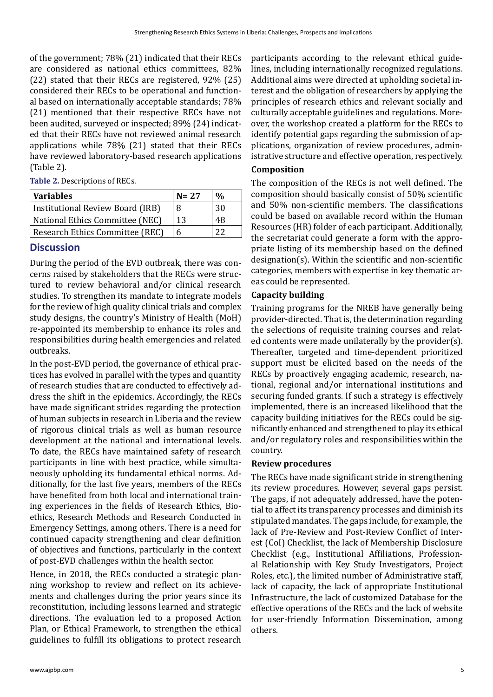of the government; 78% (21) indicated that their RECs are considered as national ethics committees, 82% (22) stated that their RECs are registered, 92% (25) considered their RECs to be operational and functional based on internationally acceptable standards; 78% (21) mentioned that their respective RECs have not been audited, surveyed or inspected; 89% (24) indicated that their RECs have not reviewed animal research applications while 78% (21) stated that their RECs have reviewed laboratory-based research applications (Table 2).

**Table 2.** Descriptions of RECs.

| <b>Variables</b>                 | $N = 27$ | $\frac{0}{0}$ |
|----------------------------------|----------|---------------|
| Institutional Review Board (IRB) | 8        | 30            |
| National Ethics Committee (NEC)  | 13       | 48            |
| Research Ethics Committee (REC)  | 6        | つつ            |

## **Discussion**

During the period of the EVD outbreak, there was concerns raised by stakeholders that the RECs were structured to review behavioral and/or clinical research studies. To strengthen its mandate to integrate models for the review of high quality clinical trials and complex study designs, the country's Ministry of Health (MoH) re-appointed its membership to enhance its roles and responsibilities during health emergencies and related outbreaks.

In the post-EVD period, the governance of ethical practices has evolved in parallel with the types and quantity of research studies that are conducted to effectively address the shift in the epidemics. Accordingly, the RECs have made significant strides regarding the protection of human subjects in research in Liberia and the review of rigorous clinical trials as well as human resource development at the national and international levels. To date, the RECs have maintained safety of research participants in line with best practice, while simultaneously upholding its fundamental ethical norms. Additionally, for the last five years, members of the RECs have benefited from both local and international training experiences in the fields of Research Ethics, Bioethics, Research Methods and Research Conducted in Emergency Settings, among others. There is a need for continued capacity strengthening and clear definition of objectives and functions, particularly in the context of post-EVD challenges within the health sector.

Hence, in 2018, the RECs conducted a strategic planning workshop to review and reflect on its achievements and challenges during the prior years since its reconstitution, including lessons learned and strategic directions. The evaluation led to a proposed Action Plan, or Ethical Framework, to strengthen the ethical guidelines to fulfill its obligations to protect research participants according to the relevant ethical guidelines, including internationally recognized regulations. Additional aims were directed at upholding societal interest and the obligation of researchers by applying the principles of research ethics and relevant socially and culturally acceptable guidelines and regulations. Moreover, the workshop created a platform for the RECs to identify potential gaps regarding the submission of applications, organization of review procedures, administrative structure and effective operation, respectively.

### **Composition**

The composition of the RECs is not well defined. The composition should basically consist of 50% scientific and 50% non-scientific members. The classifications could be based on available record within the Human Resources (HR) folder of each participant. Additionally, the secretariat could generate a form with the appropriate listing of its membership based on the defined designation(s). Within the scientific and non-scientific categories, members with expertise in key thematic areas could be represented.

### **Capacity building**

Training programs for the NREB have generally being provider-directed. That is, the determination regarding the selections of requisite training courses and related contents were made unilaterally by the provider(s). Thereafter, targeted and time-dependent prioritized support must be elicited based on the needs of the RECs by proactively engaging academic, research, national, regional and/or international institutions and securing funded grants. If such a strategy is effectively implemented, there is an increased likelihood that the capacity building initiatives for the RECs could be significantly enhanced and strengthened to play its ethical and/or regulatory roles and responsibilities within the country.

### **Review procedures**

The RECs have made significant stride in strengthening its review procedures. However, several gaps persist. The gaps, if not adequately addressed, have the potential to affect its transparency processes and diminish its stipulated mandates. The gaps include, for example, the lack of Pre-Review and Post-Review Conflict of Interest (CoI) Checklist, the lack of Membership Disclosure Checklist (e.g., Institutional Affiliations, Professional Relationship with Key Study Investigators, Project Roles, etc.), the limited number of Administrative staff, lack of capacity, the lack of appropriate Institutional Infrastructure, the lack of customized Database for the effective operations of the RECs and the lack of website for user-friendly Information Dissemination, among others.